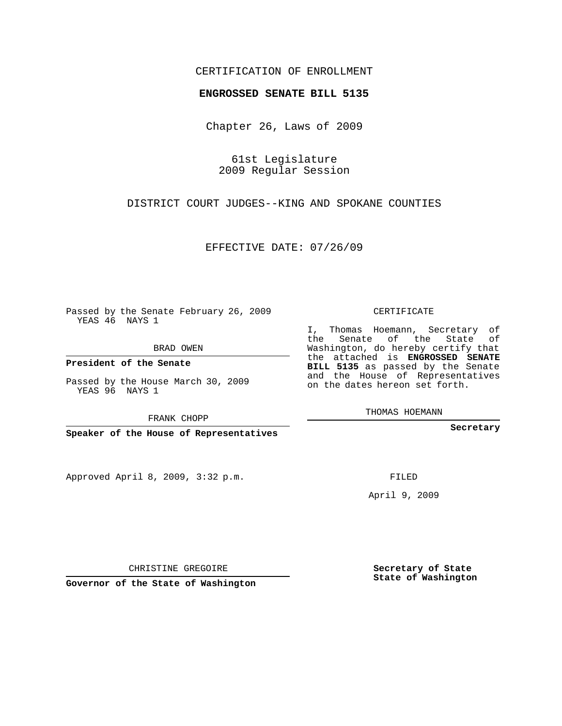## CERTIFICATION OF ENROLLMENT

## **ENGROSSED SENATE BILL 5135**

Chapter 26, Laws of 2009

61st Legislature 2009 Regular Session

DISTRICT COURT JUDGES--KING AND SPOKANE COUNTIES

EFFECTIVE DATE: 07/26/09

Passed by the Senate February 26, 2009 YEAS 46 NAYS 1

BRAD OWEN

**President of the Senate**

Passed by the House March 30, 2009 YEAS 96 NAYS 1

FRANK CHOPP

**Speaker of the House of Representatives**

Approved April 8, 2009, 3:32 p.m.

CERTIFICATE

I, Thomas Hoemann, Secretary of the Senate of the State of Washington, do hereby certify that the attached is **ENGROSSED SENATE BILL 5135** as passed by the Senate and the House of Representatives on the dates hereon set forth.

THOMAS HOEMANN

**Secretary**

FILED

April 9, 2009

**Secretary of State State of Washington**

CHRISTINE GREGOIRE

**Governor of the State of Washington**